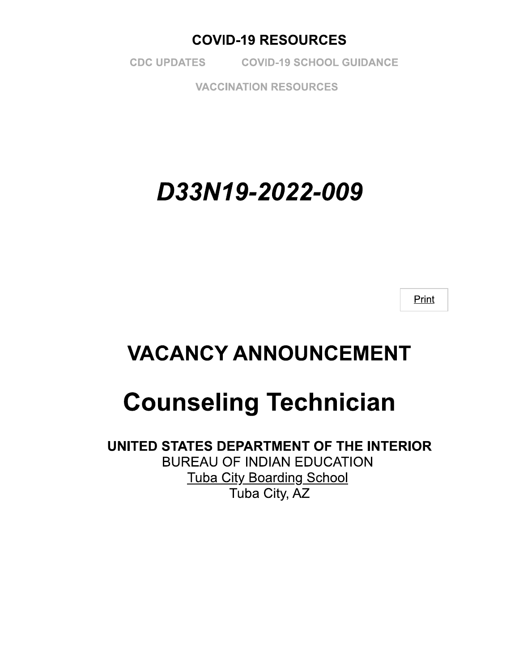### **COVID-19 RESOURCES**

**CDC UPDATES COVID-19 SCHOOL GUIDANCE** 

**VACCINATION RESOURCES** 

# D33N19-2022-009

Print

## **VACANCY ANNOUNCEMENT**

# **Counseling Technician**

UNITED STATES DEPARTMENT OF THE INTERIOR **BUREAU OF INDIAN EDUCATION Tuba City Boarding School** Tuba City, AZ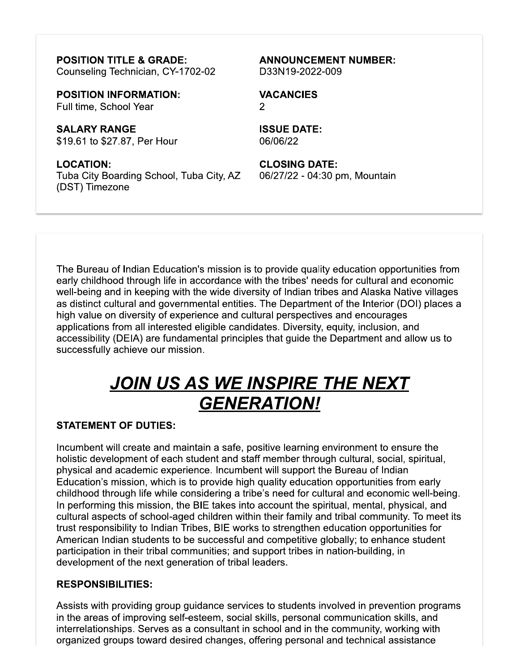**POSITION TITLE & GRADE:** Counseling Technician, CY-1702-02

**POSITION INFORMATION:** Full time, School Year

**SALARY RANGE** \$19.61 to \$27.87, Per Hour

**LOCATION:** Tuba City Boarding School, Tuba City, AZ (DST) Timezone

**ANNOUNCEMENT NUMBER:** D33N19-2022-009

**VACANCIES**  $\overline{2}$ 

**ISSUE DATE:** 06/06/22

**CLOSING DATE:** 06/27/22 - 04:30 pm, Mountain

The Bureau of Indian Education's mission is to provide quality education opportunities from early childhood through life in accordance with the tribes' needs for cultural and economic well-being and in keeping with the wide diversity of Indian tribes and Alaska Native villages as distinct cultural and governmental entities. The Department of the Interior (DOI) places a high value on diversity of experience and cultural perspectives and encourages applications from all interested eligible candidates. Diversity, equity, inclusion, and accessibility (DEIA) are fundamental principles that guide the Department and allow us to successfully achieve our mission.

## <u>JOIN US AS WE INSPIRE THE NEXT</u> **GENERATION!**

#### **STATEMENT OF DUTIES:**

Incumbent will create and maintain a safe, positive learning environment to ensure the holistic development of each student and staff member through cultural, social, spiritual, physical and academic experience. Incumbent will support the Bureau of Indian Education's mission, which is to provide high quality education opportunities from early childhood through life while considering a tribe's need for cultural and economic well-being. In performing this mission, the BIE takes into account the spiritual, mental, physical, and cultural aspects of school-aged children within their family and tribal community. To meet its trust responsibility to Indian Tribes, BIE works to strengthen education opportunities for American Indian students to be successful and competitive globally; to enhance student participation in their tribal communities; and support tribes in nation-building, in development of the next generation of tribal leaders.

#### **RESPONSIBILITIES:**

Assists with providing group guidance services to students involved in prevention programs in the areas of improving self-esteem, social skills, personal communication skills, and interrelationships. Serves as a consultant in school and in the community, working with organized groups toward desired changes, offering personal and technical assistance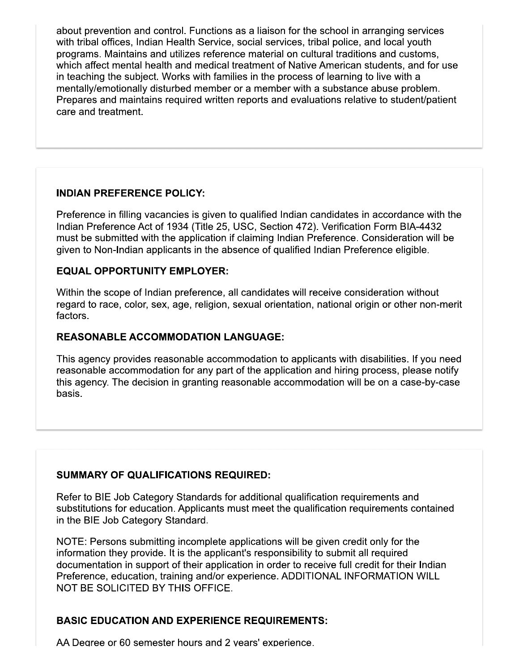about prevention and control. Functions as a liaison for the school in arranging services with tribal offices, Indian Health Service, social services, tribal police, and local youth programs. Maintains and utilizes reference material on cultural traditions and customs, which affect mental health and medical treatment of Native American students, and for use in teaching the subject. Works with families in the process of learning to live with a mentally/emotionally disturbed member or a member with a substance abuse problem. Prepares and maintains required written reports and evaluations relative to student/patient care and treatment.

#### **INDIAN PREFERENCE POLICY:**

Preference in filling vacancies is given to qualified Indian candidates in accordance with the Indian Preference Act of 1934 (Title 25, USC, Section 472). Verification Form BIA-4432 must be submitted with the application if claiming Indian Preference. Consideration will be given to Non-Indian applicants in the absence of qualified Indian Preference eligible.

#### **EQUAL OPPORTUNITY EMPLOYER:**

Within the scope of Indian preference, all candidates will receive consideration without regard to race, color, sex, age, religion, sexual orientation, national origin or other non-merit factors.

#### **REASONABLE ACCOMMODATION LANGUAGE:**

This agency provides reasonable accommodation to applicants with disabilities. If you need reasonable accommodation for any part of the application and hiring process, please notify this agency. The decision in granting reasonable accommodation will be on a case-by-case basis.

#### **SUMMARY OF QUALIFICATIONS REQUIRED:**

Refer to BIE Job Category Standards for additional qualification requirements and substitutions for education. Applicants must meet the qualification requirements contained in the BIE Job Category Standard.

NOTE: Persons submitting incomplete applications will be given credit only for the information they provide. It is the applicant's responsibility to submit all required documentation in support of their application in order to receive full credit for their Indian Preference, education, training and/or experience. ADDITIONAL INFORMATION WILL NOT BE SOLICITED BY THIS OFFICE.

#### **BASIC EDUCATION AND EXPERIENCE REQUIREMENTS:**

AA Degree or 60 semester hours and 2 years' experience.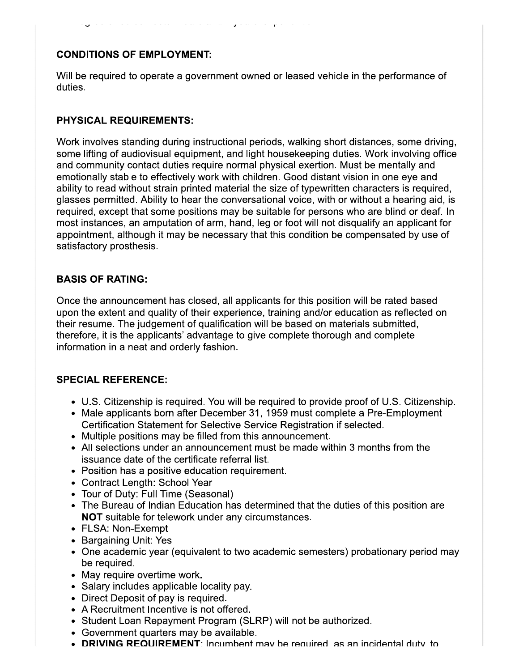#### **CONDITIONS OF EMPLOYMENT:**

Will be required to operate a government owned or leased vehicle in the performance of duties.

#### **PHYSICAL REQUIREMENTS:**

Work involves standing during instructional periods, walking short distances, some driving, some lifting of audiovisual equipment, and light housekeeping duties. Work involving office and community contact duties require normal physical exertion. Must be mentally and emotionally stable to effectively work with children. Good distant vision in one eye and ability to read without strain printed material the size of typewritten characters is required, glasses permitted. Ability to hear the conversational voice, with or without a hearing aid, is required, except that some positions may be suitable for persons who are blind or deaf. In most instances, an amputation of arm, hand, leg or foot will not disqualify an applicant for appointment, although it may be necessary that this condition be compensated by use of satisfactory prosthesis.

#### **BASIS OF RATING:**

Once the announcement has closed, all applicants for this position will be rated based upon the extent and quality of their experience, training and/or education as reflected on their resume. The judgement of qualification will be based on materials submitted, therefore, it is the applicants' advantage to give complete thorough and complete information in a neat and orderly fashion.

#### **SPECIAL REFERENCE:**

- U.S. Citizenship is required. You will be required to provide proof of U.S. Citizenship.
- Male applicants born after December 31, 1959 must complete a Pre-Employment Certification Statement for Selective Service Registration if selected.
- Multiple positions may be filled from this announcement.
- All selections under an announcement must be made within 3 months from the issuance date of the certificate referral list.
- Position has a positive education requirement.
- Contract Length: School Year
- Tour of Duty: Full Time (Seasonal)
- The Bureau of Indian Education has determined that the duties of this position are NOT suitable for telework under any circumstances.
- FLSA: Non-Exempt
- Bargaining Unit: Yes
- One academic year (equivalent to two academic semesters) probationary period may be required.
- May require overtime work.
- Salary includes applicable locality pay.
- Direct Deposit of pay is required.
- A Recruitment Incentive is not offered.
- Student Loan Repayment Program (SLRP) will not be authorized.
- Government quarters may be available.
- **DRIVING REQUIREMENT:** Incumbent may be required as an incidental duty to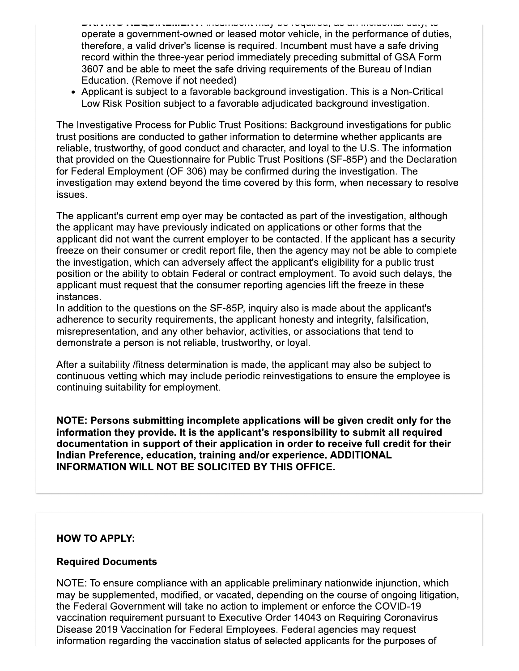- winitiite in www.amaitic.mommon.moj wo roquiou, uo un inviurium uutj, io operate a government-owned or leased motor vehicle, in the performance of duties, therefore, a valid driver's license is required. Incumbent must have a safe driving record within the three-year period immediately preceding submittal of GSA Form 3607 and be able to meet the safe driving requirements of the Bureau of Indian Education. (Remove if not needed)
- Applicant is subject to a favorable background investigation. This is a Non-Critical Low Risk Position subject to a favorable adjudicated background investigation.

The Investigative Process for Public Trust Positions: Background investigations for public trust positions are conducted to gather information to determine whether applicants are reliable, trustworthy, of good conduct and character, and loyal to the U.S. The information that provided on the Questionnaire for Public Trust Positions (SF-85P) and the Declaration for Federal Employment (OF 306) may be confirmed during the investigation. The investigation may extend beyond the time covered by this form, when necessary to resolve issues.

The applicant's current employer may be contacted as part of the investigation, although the applicant may have previously indicated on applications or other forms that the applicant did not want the current employer to be contacted. If the applicant has a security freeze on their consumer or credit report file, then the agency may not be able to complete the investigation, which can adversely affect the applicant's eligibility for a public trust position or the ability to obtain Federal or contract employment. To avoid such delays, the applicant must request that the consumer reporting agencies lift the freeze in these instances.

In addition to the questions on the SF-85P, inquiry also is made about the applicant's adherence to security requirements, the applicant honesty and integrity, falsification, misrepresentation, and any other behavior, activities, or associations that tend to demonstrate a person is not reliable, trustworthy, or loyal.

After a suitability /fitness determination is made, the applicant may also be subject to continuous vetting which may include periodic reinvestigations to ensure the employee is continuing suitability for employment.

NOTE: Persons submitting incomplete applications will be given credit only for the information they provide. It is the applicant's responsibility to submit all required documentation in support of their application in order to receive full credit for their Indian Preference, education, training and/or experience. ADDITIONAL **INFORMATION WILL NOT BE SOLICITED BY THIS OFFICE.** 

#### **HOW TO APPLY:**

#### **Required Documents**

NOTE: To ensure compliance with an applicable preliminary nationwide injunction, which may be supplemented, modified, or vacated, depending on the course of ongoing litigation, the Federal Government will take no action to implement or enforce the COVID-19 vaccination requirement pursuant to Executive Order 14043 on Requiring Coronavirus Disease 2019 Vaccination for Federal Employees. Federal agencies may request information regarding the vaccination status of selected applicants for the purposes of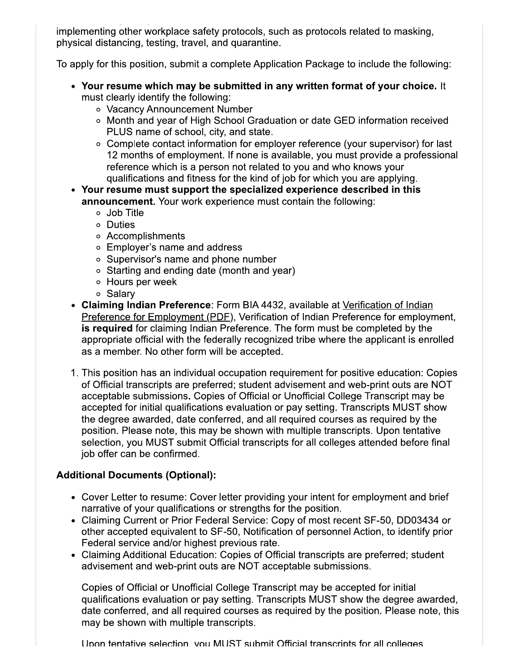implementing other workplace safety protocols, such as protocols related to masking, physical distancing, testing, travel, and quarantine.

To apply for this position, submit a complete Application Package to include the following:

- Your resume which may be submitted in any written format of your choice. It must clearly identify the following:
	- o Vacancy Announcement Number
	- o Month and year of High School Graduation or date GED information received PLUS name of school, city, and state.
	- Complete contact information for employer reference (your supervisor) for last 12 months of employment. If none is available, you must provide a professional reference which is a person not related to you and who knows your qualifications and fitness for the kind of job for which you are applying.
- Your resume must support the specialized experience described in this announcement. Your work experience must contain the following:
	- o Job Title
	- o Duties
	- o Accomplishments
	- Employer's name and address
	- Supervisor's name and phone number
	- Starting and ending date (month and year)
	- o Hours per week
	- o Salarv
- Claiming Indian Preference: Form BIA 4432, available at Verification of Indian Preference for Employment (PDF), Verification of Indian Preference for employment, is required for claiming Indian Preference. The form must be completed by the appropriate official with the federally recognized tribe where the applicant is enrolled as a member. No other form will be accepted.
- 1. This position has an individual occupation requirement for positive education: Copies of Official transcripts are preferred; student advisement and web-print outs are NOT acceptable submissions. Copies of Official or Unofficial College Transcript may be accepted for initial qualifications evaluation or pay setting. Transcripts MUST show the degree awarded, date conferred, and all required courses as required by the position. Please note, this may be shown with multiple transcripts. Upon tentative selection, you MUST submit Official transcripts for all colleges attended before final job offer can be confirmed.

#### **Additional Documents (Optional):**

- Cover Letter to resume: Cover letter providing your intent for employment and brief narrative of your qualifications or strengths for the position.
- Claiming Current or Prior Federal Service: Copy of most recent SF-50, DD03434 or other accepted equivalent to SF-50, Notification of personnel Action, to identify prior Federal service and/or highest previous rate.
- Claiming Additional Education: Copies of Official transcripts are preferred; student advisement and web-print outs are NOT acceptable submissions.

Copies of Official or Unofficial College Transcript may be accepted for initial qualifications evaluation or pay setting. Transcripts MUST show the degree awarded, date conferred, and all required courses as required by the position. Please note, this may be shown with multiple transcripts.

Unon tentative selection you MUST submit Official transcripts for all colleges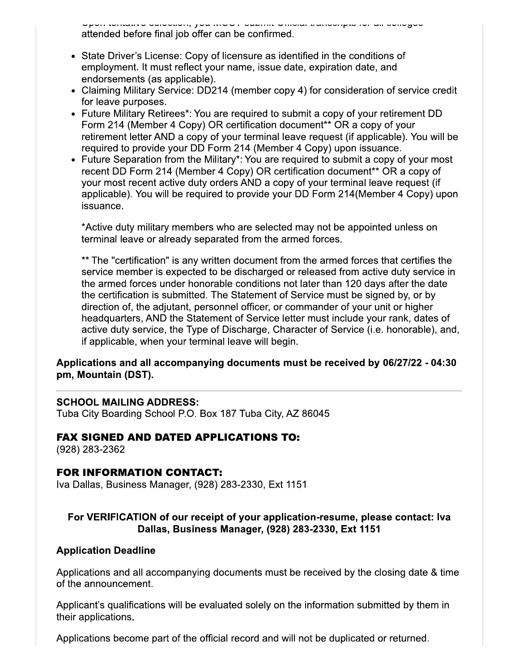ni tomativo oorootioni, joa moo illotamine omoral transonipto roman ooriogoo attended before final job offer can be confirmed.

- State Driver's License: Copy of licensure as identified in the conditions of employment. It must reflect your name, issue date, expiration date, and endorsements (as applicable).
- Claiming Military Service: DD214 (member copy 4) for consideration of service credit for leave purposes.
- Future Military Retirees\*: You are required to submit a copy of your retirement DD Form 214 (Member 4 Copy) OR certification document\*\* OR a copy of your retirement letter AND a copy of your terminal leave request (if applicable). You will be required to provide your DD Form 214 (Member 4 Copy) upon issuance.
- Future Separation from the Military\*: You are required to submit a copy of your most recent DD Form 214 (Member 4 Copy) OR certification document<sup>\*\*</sup> OR a copy of your most recent active duty orders AND a copy of your terminal leave request (if applicable). You will be required to provide your DD Form 214(Member 4 Copy) upon issuance.

\*Active duty military members who are selected may not be appointed unless on terminal leave or already separated from the armed forces.

\*\* The "certification" is any written document from the armed forces that certifies the service member is expected to be discharged or released from active duty service in the armed forces under honorable conditions not later than 120 days after the date the certification is submitted. The Statement of Service must be signed by, or by direction of, the adjutant, personnel officer, or commander of your unit or higher headquarters, AND the Statement of Service letter must include your rank, dates of active duty service, the Type of Discharge, Character of Service (i.e. honorable), and, if applicable, when your terminal leave will begin.

#### Applications and all accompanying documents must be received by 06/27/22 - 04:30 pm, Mountain (DST).

#### **SCHOOL MAILING ADDRESS:**

Tuba City Boarding School P.O. Box 187 Tuba City, AZ 86045

#### **FAX SIGNED AND DATED APPLICATIONS TO:**

(928) 283-2362

#### **FOR INFORMATION CONTACT:**

Iva Dallas, Business Manager, (928) 283-2330, Ext 1151

#### For VERIFICATION of our receipt of your application-resume, please contact: Iva Dallas, Business Manager, (928) 283-2330, Ext 1151

#### **Application Deadline**

Applications and all accompanying documents must be received by the closing date & time of the announcement.

Applicant's qualifications will be evaluated solely on the information submitted by them in their applications.

Applications become part of the official record and will not be duplicated or returned.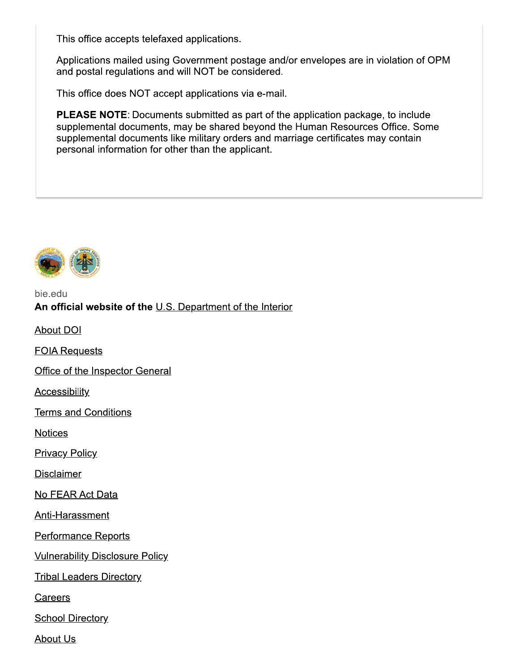This office accepts telefaxed applications.

Applications mailed using Government postage and/or envelopes are in violation of OPM and postal regulations and will NOT be considered.

This office does NOT accept applications via e-mail.

**PLEASE NOTE:** Documents submitted as part of the application package, to include supplemental documents, may be shared beyond the Human Resources Office. Some supplemental documents like military orders and marriage certificates may contain personal information for other than the applicant.



#### bie.edu An official website of the U.S. Department of the Interior

**About DOI** 

**FOIA Requests** 

Office of the Inspector General

**Accessibility** 

**Terms and Conditions** 

**Notices** 

**Privacy Policy** 

**Disclaimer** 

No FEAR Act Data

Anti-Harassment

**Performance Reports** 

**Vulnerability Disclosure Policy** 

**Tribal Leaders Directory** 

Careers

**School Directory** 

**About Us**